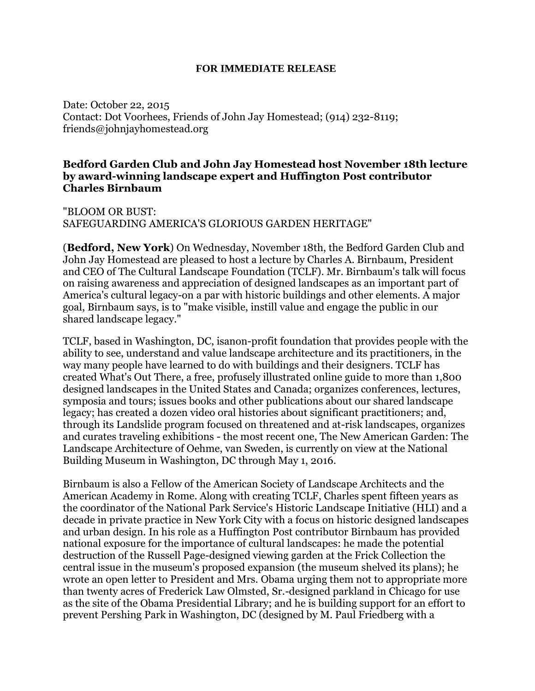## **FOR IMMEDIATE RELEASE**

Date: October 22, 2015 Contact: Dot Voorhees, Friends of John Jay Homestead; (914) 232-8119; friends@johnjayhomestead.org

## **Bedford Garden Club and John Jay Homestead host November 18th lecture by award-winning landscape expert and Huffington Post contributor Charles Birnbaum**

"BLOOM OR BUST: SAFEGUARDING AMERICA'S GLORIOUS GARDEN HERITAGE"

(**Bedford, New York**) On Wednesday, November 18th, the Bedford Garden Club and John Jay Homestead are pleased to host a lecture by Charles A. Birnbaum, President and CEO of The Cultural Landscape Foundation (TCLF). Mr. Birnbaum's talk will focus on raising awareness and appreciation of designed landscapes as an important part of America's cultural legacy-on a par with historic buildings and other elements. A major goal, Birnbaum says, is to "make visible, instill value and engage the public in our shared landscape legacy."

TCLF, based in Washington, DC, isanon-profit foundation that provides people with the ability to see, understand and value landscape architecture and its practitioners, in the way many people have learned to do with buildings and their designers. TCLF has created What's Out There, a free, profusely illustrated online guide to more than 1,800 designed landscapes in the United States and Canada; organizes conferences, lectures, symposia and tours; issues books and other publications about our shared landscape legacy; has created a dozen video oral histories about significant practitioners; and, through its Landslide program focused on threatened and at-risk landscapes, organizes and curates traveling exhibitions - the most recent one, The New American Garden: The Landscape Architecture of Oehme, van Sweden, is currently on view at the National Building Museum in Washington, DC through May 1, 2016.

Birnbaum is also a Fellow of the American Society of Landscape Architects and the American Academy in Rome. Along with creating TCLF, Charles spent fifteen years as the coordinator of the National Park Service's Historic Landscape Initiative (HLI) and a decade in private practice in New York City with a focus on historic designed landscapes and urban design. In his role as a Huffington Post contributor Birnbaum has provided national exposure for the importance of cultural landscapes: he made the potential destruction of the Russell Page-designed viewing garden at the Frick Collection the central issue in the museum's proposed expansion (the museum shelved its plans); he wrote an open letter to President and Mrs. Obama urging them not to appropriate more than twenty acres of Frederick Law Olmsted, Sr.-designed parkland in Chicago for use as the site of the Obama Presidential Library; and he is building support for an effort to prevent Pershing Park in Washington, DC (designed by M. Paul Friedberg with a